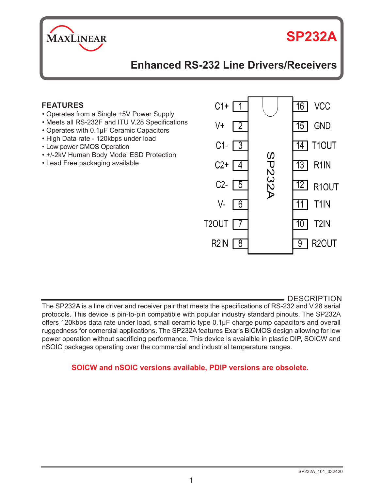

# **SP232A**

# **Enhanced RS-232 Line Drivers/Receivers**

# **FEATURES**

- Operates from a Single +5V Power Supply
- Meets all RS-232F and ITU V.28 Specifications
- Operates with 0.1μF Ceramic Capacitors
- High Data rate 120kbps under load
- Low power CMOS Operation
- +/-2kV Human Body Model ESD Protection
- Lead Free packaging available



DESCRIPTION

The SP232A is a line driver and receiver pair that meets the specifications of RS-232 and V.28 serial protocols. This device is pin-to-pin compatible with popular industry standard pinouts. The SP232A offers 120kbps data rate under load, small ceramic type 0.1μF charge pump capacitors and overall ruggedness for comercial applications. The SP232A features Exar's BiCMOS design allowing for low power operation without sacrificing performance. This device is avaialble in plastic DIP, SOICW and nSOIC packages operating over the commercial and industrial temperature ranges.

## **SOICW and nSOIC versions available, PDIP versions are obsolete.**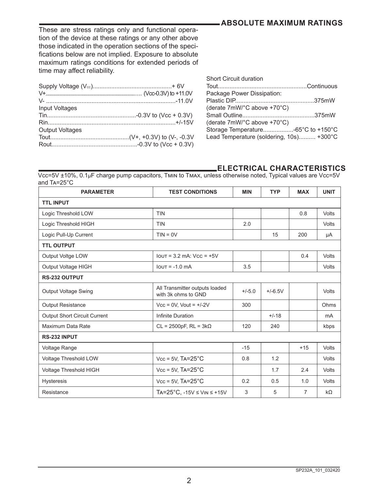# **ABSOLUTE MAXIMUM RATINGS**

These are stress ratings only and functional operation of the device at these ratings or any other above those indicated in the operation sections of the specifications below are not implied. Exposure to absolute maximum ratings conditions for extended periods of time may affect reliability.

| <b>Short Circuit duration</b>            |  |
|------------------------------------------|--|
|                                          |  |
| Package Power Dissipation:               |  |
|                                          |  |
| (derate 7mW/°C above +70°C)              |  |
|                                          |  |
| (derate 7mW/°C above +70°C)              |  |
| Storage Temperature-65°C to +150°C       |  |
| Lead Temperature (soldering, 10s) +300°C |  |
|                                          |  |

# **ELECTRICAL CHARACTERISTICS**

Vcc=5V ±10%, 0.1μF charge pump capacitors, Tmin to Tmax, unless otherwise noted, Typical values are Vcc=5V and Ta=25°C

| <b>PARAMETER</b>                    | <b>TEST CONDITIONS</b>                                | <b>MIN</b> | <b>TYP</b> | <b>MAX</b>     | <b>UNIT</b>    |
|-------------------------------------|-------------------------------------------------------|------------|------------|----------------|----------------|
| <b>TTL INPUT</b>                    |                                                       |            |            |                |                |
| Logic Threshold LOW                 | <b>TIN</b>                                            |            |            | 0.8            | Volts          |
| Logic Threshold HIGH                | <b>TIN</b>                                            | 2.0        |            |                | Volts          |
| Logic Pull-Up Current               | $TIN = OV$                                            |            | 15         | 200            | μA             |
| <b>TTL OUTPUT</b>                   |                                                       |            |            |                |                |
| Output Voltge LOW                   | $I$ out = 3.2 mA: $V$ cc = $+5V$                      |            |            | 0.4            | Volts          |
| Output Voltage HIGH                 | $IOUT = -1.0 mA$                                      | 3.5        |            |                | Volts          |
| RS-232 OUTPUT                       |                                                       |            |            |                |                |
| <b>Output Voltage Swing</b>         | All Transmitter outputs loaded<br>with 3k ohms to GND | $+/-5.0$   | $+/-6.5V$  |                | Volts          |
| <b>Output Resistance</b>            | $Vcc = 0V$ , Vout = $+/-2V$                           | 300        |            |                | Ohms           |
| <b>Output Short Circuit Current</b> | Infinite Duration                                     |            | $+/-18$    |                | m <sub>A</sub> |
| Maximum Data Rate                   | $CL = 2500pF$ , $RL = 3k\Omega$                       | 120        | 240        |                | kbps           |
| RS-232 INPUT                        |                                                       |            |            |                |                |
| Voltage Range                       |                                                       | $-15$      |            | $+15$          | Volts          |
| Voltage Threshold LOW               | $Vcc = 5V$ , $Ta = 25^{\circ}C$                       | 0.8        | 1.2        |                | Volts          |
| Voltage Threshold HIGH              | $Vec = 5V$ , $Ta = 25^{\circ}C$                       |            | 1.7        | 2.4            | Volts          |
| <b>Hysteresis</b>                   | $Vcc = 5V$ , $Ta = 25^{\circ}C$                       | 0.2        | 0.5        | 1.0            | Volts          |
| Resistance                          | $TA = 25^{\circ}C. -15V \leq V_{IN} \leq +15V$        | 3          | 5          | $\overline{7}$ | $k\Omega$      |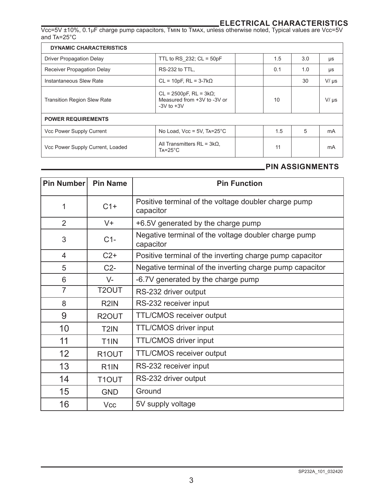**ELECTRICAL CHARACTERISTICS** Vcc=5V ±10%, 0.1μF charge pump capacitors, Tmin to Tmax, unless otherwise noted, Typical values are Vcc=5V and Ta=25°C

| <b>DYNAMIC CHARACTERISTICS</b>     |                                                                                    |  |     |     |           |
|------------------------------------|------------------------------------------------------------------------------------|--|-----|-----|-----------|
| <b>Driver Propagation Delay</b>    | TTL to RS 232; $CL = 50pF$                                                         |  | 1.5 | 3.0 | μs        |
| Receiver Propagation Delay         | RS-232 to TTL.                                                                     |  | 0.1 | 1.0 | μs        |
| Instantaneous Slew Rate            | $CL = 10pF$ , $RL = 3-7k\Omega$                                                    |  |     | 30  | $V/\mu s$ |
| <b>Transition Region Slew Rate</b> | $CL = 2500pF$ , $RL = 3k\Omega$ ;<br>Measured from +3V to -3V or<br>$-3V$ to $+3V$ |  | 10  |     | $V/\mu s$ |
| <b>POWER REQUIREMENTS</b>          |                                                                                    |  |     |     |           |
| Vcc Power Supply Current           | No Load, $Vec = 5V$ , $Ta=25^{\circ}C$                                             |  | 1.5 | 5   | mA        |
| Vcc Power Supply Current, Loaded   | All Transmitters RL = $3kΩ$ ,<br>$Ta = 25^{\circ}C$                                |  | 11  |     | mA        |

# **PIN ASSIGNMENTS**

| Pin Number     | <b>Pin Name</b>    | <b>Pin Function</b>                                               |
|----------------|--------------------|-------------------------------------------------------------------|
| 1              | $C1+$              | Positive terminal of the voltage doubler charge pump<br>capacitor |
| $\mathfrak{D}$ | $V +$              | +6.5V generated by the charge pump                                |
| 3              | $C1-$              | Negative terminal of the voltage doubler charge pump<br>capacitor |
| 4              | $C2+$              | Positive terminal of the inverting charge pump capacitor          |
| 5              | $C2-$              | Negative terminal of the inverting charge pump capacitor          |
| 6              | $V -$              | -6.7V generated by the charge pump                                |
| $\overline{7}$ | T2OUT              | RS-232 driver output                                              |
| 8              | R <sub>2</sub> IN  | RS-232 receiver input                                             |
| 9              | R <sub>2</sub> OUT | TTL/CMOS receiver output                                          |
| 10             | T <sub>2</sub> IN  | TTL/CMOS driver input                                             |
| 11             | T <sub>1</sub> IN  | TTL/CMOS driver input                                             |
| 12             | R1OUT              | TTL/CMOS receiver output                                          |
| 13             | R <sub>1</sub> IN  | RS-232 receiver input                                             |
| 14             | T1OUT              | RS-232 driver output                                              |
| 15             | <b>GND</b>         | Ground                                                            |
| 16             | Vcc                | 5V supply voltage                                                 |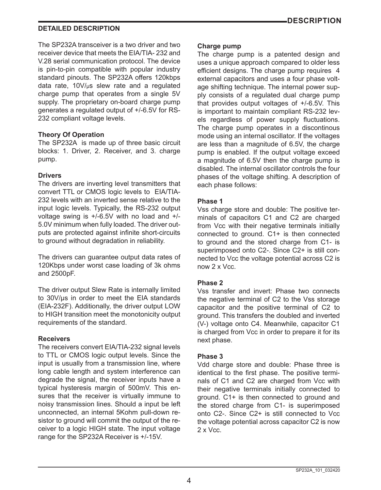# **DESCRIPTION**

# **DETAILED DESCRIPTION**

The SP232A transceiver is a two driver and two receiver device that meets the EIA/TIA- 232 and V.28 serial communication protocol. The device is pin-to-pin compatible with popular industry standard pinouts. The SP232A offers 120kbps data rate, 10V/μs slew rate and a regulated charge pump that operates from a single 5V supply. The proprietary on-board charge pump generates a regulated output of +/-6.5V for RS-232 compliant voltage levels.

#### **Theory Of Operation**

The SP232A is made up of three basic circuit blocks: 1. Driver, 2. Receiver, and 3. charge pump.

#### **Drivers**

The drivers are inverting level transmitters that convert TTL or CMOS logic levels to EIA/TIA-232 levels with an inverted sense relative to the input logic levels. Typically, the RS-232 output voltage swing is +/-6.5V with no load and +/- 5.0V minimum when fully loaded. The driver outputs are protected against infinite short-circuits to ground without degradation in reliability.

The drivers can guarantee output data rates of 120Kbps under worst case loading of 3k ohms and 2500pF.

The driver output Slew Rate is internally limited to 30V/μs in order to meet the EIA standards (EIA-232F). Additionally, the driver output LOW to HIGH transition meet the monotonicity output requirements of the standard.

#### **Receivers**

The receivers convert EIA/TIA-232 signal levels to TTL or CMOS logic output levels. Since the input is usually from a transmission line, where long cable length and system interference can degrade the signal, the receiver inputs have a typical hysteresis margin of 500mV. This ensures that the receiver is virtually immune to noisy transmission lines. Should a input be left unconnected, an internal 5Kohm pull-down resistor to ground will commit the output of the receiver to a logic HIGH state. The input voltage range for the SP232A Receiver is +/-15V.

#### **Charge pump**

The charge pump is a patented design and uses a unique approach compared to older less efficient designs. The charge pump requires 4 external capacitors and uses a four phase voltage shifting technique. The internal power supply consists of a regulated dual charge pump that provides output voltages of +/-6.5V. This is important to maintain compliant RS-232 levels regardless of power supply fluctuations. The charge pump operates in a discontinous mode using an internal oscillator. If the voltages are less than a magnitude of 6.5V, the charge pump is enabled. If the output voltage exceed a magnitude of 6.5V then the charge pump is disabled. The internal oscillator controls the four phases of the voltage shifting. A description of each phase follows:

#### **Phase 1**

Vss charge store and double: The positive terminals of capacitors C1 and C2 are charged from Vcc with their negative terminals initially connected to ground. C1+ is then connected to ground and the stored charge from C1- is superimposed onto C2-. Since C2+ is still connected to Vcc the voltage potential across C2 is now 2 x Vcc.

#### **Phase 2**

Vss transfer and invert: Phase two connects the negative terminal of C2 to the Vss storage capacitor and the positive terminal of C2 to ground. This transfers the doubled and inverted (V-) voltage onto C4. Meanwhile, capacitor C1 is charged from Vcc in order to prepare it for its next phase.

#### **Phase 3**

Vdd charge store and double: Phase three is identical to the first phase. The positive terminals of C1 and C2 are charged from Vcc with their negative terminals initially connected to ground. C1+ is then connected to ground and the stored charge from C1- is superimposed onto C2-. Since C2+ is still connected to Vcc the voltage potential across capacitor C2 is now 2 x Vcc.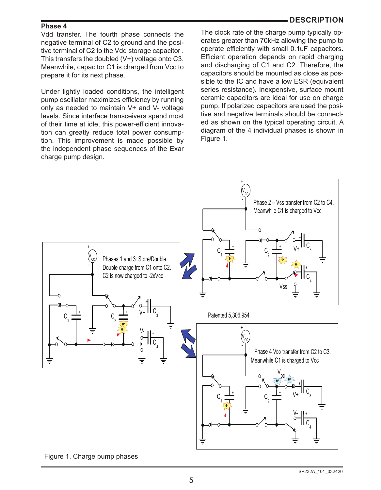### **DESCRIPTION**

#### **Phase 4**

Vdd transfer. The fourth phase connects the negative terminal of C2 to ground and the positive terminal of C2 to the Vdd storage capacitor . This transfers the doubled (V+) voltage onto C3. Meanwhile, capacitor C1 is charged from Vcc to prepare it for its next phase.

Under lightly loaded conditions, the intelligent pump oscillator maximizes efficiency by running only as needed to maintain V+ and V- voltage levels. Since interface transceivers spend most of their time at idle, this power-efficient innovation can greatly reduce total power consumption. This improvement is made possible by the independent phase sequences of the Exar charge pump design.

The clock rate of the charge pump typically operates greater than 70kHz allowing the pump to operate efficiently with small 0.1uF capacitors. Efficient operation depends on rapid charging and discharging of C1 and C2. Therefore, the capacitors should be mounted as close as possible to the IC and have a low ESR (equivalent series resistance). Inexpensive, surface mount ceramic capacitors are ideal for use on charge pump. If polarized capacitors are used the positive and negative terminals should be connected as shown on the typical operating circuit. A diagram of the 4 individual phases is shown in Figure 1.



Figure 1. Charge pump phases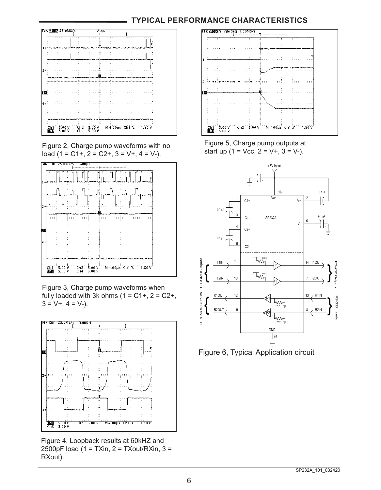# **TYPICAL PERFORMANCE CHARACTERISTICS**



Figure 2, Charge pump waveforms with no load (1 = C1+, 2 = C2+, 3 = V+, 4 = V-).



Figure 3, Charge pump waveforms when fully loaded with 3k ohms  $(1 = C1 + 0.2)$  = C2+,  $3 = V +$ ,  $4 = V$ -).



Figure 4, Loopback results at 60kHZ and 2500pF load (1 = TXin, 2 = TXout/RXin, 3 = RXout).



Figure 5, Charge pump outputs at start up  $(1 = \text{Vec}, 2 = \text{V+}, 3 = \text{V-}).$ 



Figure 6, Typical Application circuit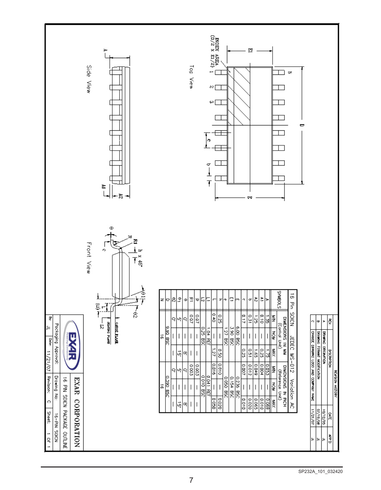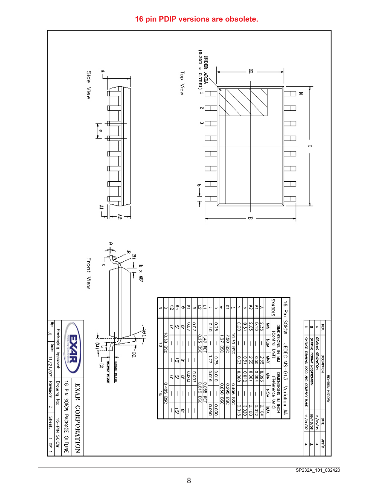# **16 pin PDIP versions are obsolete.**

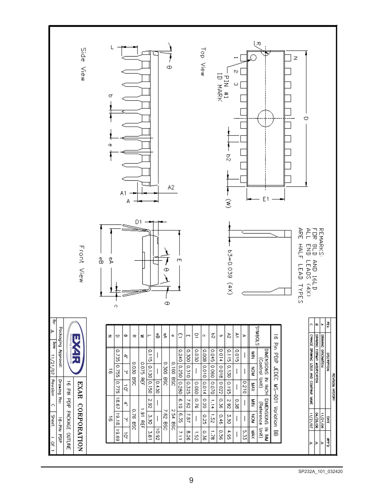